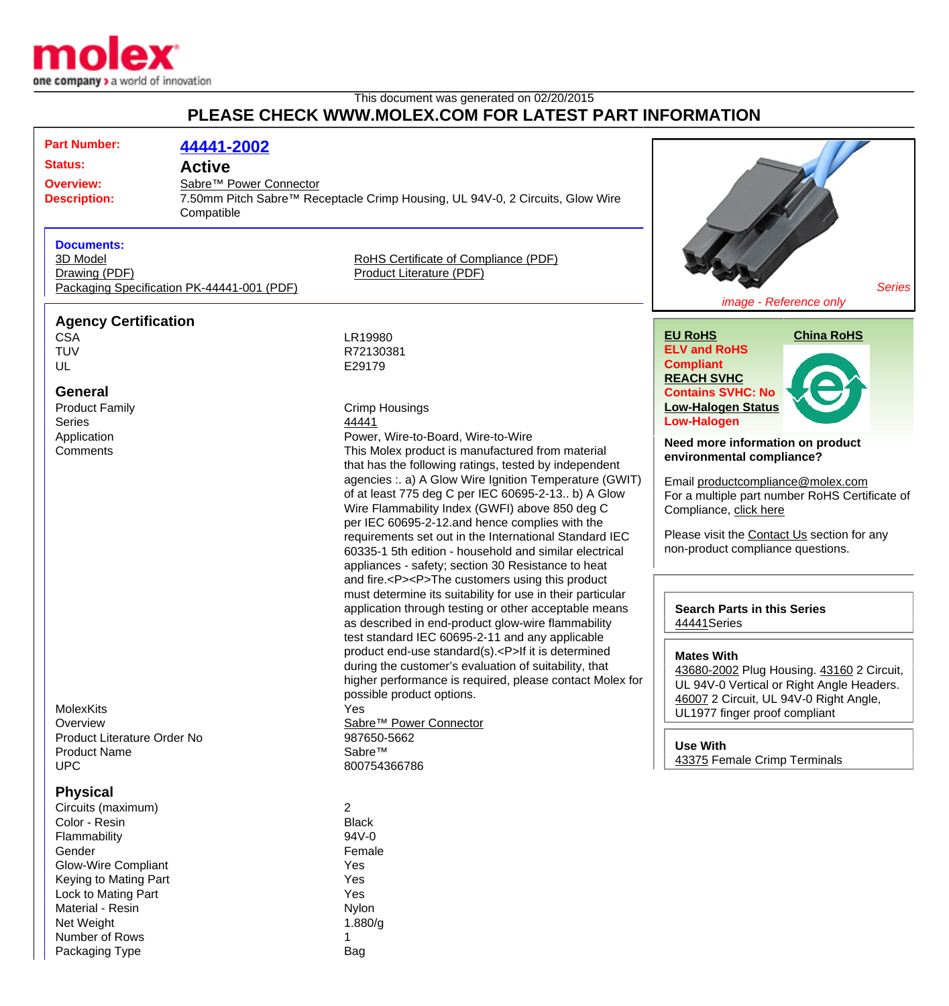

Net Weight 1.880/g Number of Rows 2008 12 Packaging Type **Bag** 

## This document was generated on 02/20/2015 **PLEASE CHECK WWW.MOLEX.COM FOR LATEST PART INFORMATION**

| <b>Part Number:</b><br><b>Status:</b><br><b>Overview:</b><br><b>Description:</b>                                                        | 44441-2002<br><b>Active</b><br>Sabre™ Power Connector<br>7.50mm Pitch Sabre™ Receptacle Crimp Housing, UL 94V-0, 2 Circuits, Glow Wire<br>Compatible |                                                                                                                                                                                                                                                                                                                                                                                                                                                                                                                 |                                                                                                                                                                                                   |  |
|-----------------------------------------------------------------------------------------------------------------------------------------|------------------------------------------------------------------------------------------------------------------------------------------------------|-----------------------------------------------------------------------------------------------------------------------------------------------------------------------------------------------------------------------------------------------------------------------------------------------------------------------------------------------------------------------------------------------------------------------------------------------------------------------------------------------------------------|---------------------------------------------------------------------------------------------------------------------------------------------------------------------------------------------------|--|
| <b>Documents:</b><br>3D Model                                                                                                           |                                                                                                                                                      | RoHS Certificate of Compliance (PDF)                                                                                                                                                                                                                                                                                                                                                                                                                                                                            |                                                                                                                                                                                                   |  |
| Drawing (PDF)                                                                                                                           |                                                                                                                                                      | <b>Product Literature (PDF)</b>                                                                                                                                                                                                                                                                                                                                                                                                                                                                                 |                                                                                                                                                                                                   |  |
|                                                                                                                                         | Packaging Specification PK-44441-001 (PDF)                                                                                                           |                                                                                                                                                                                                                                                                                                                                                                                                                                                                                                                 | <b>Series</b><br>image - Reference only                                                                                                                                                           |  |
| <b>Agency Certification</b><br><b>CSA</b>                                                                                               |                                                                                                                                                      | LR19980                                                                                                                                                                                                                                                                                                                                                                                                                                                                                                         | <b>EU RoHS</b><br><b>China RoHS</b>                                                                                                                                                               |  |
| <b>TUV</b>                                                                                                                              |                                                                                                                                                      | R72130381                                                                                                                                                                                                                                                                                                                                                                                                                                                                                                       | <b>ELV and RoHS</b>                                                                                                                                                                               |  |
| UL<br><b>General</b>                                                                                                                    |                                                                                                                                                      | E29179                                                                                                                                                                                                                                                                                                                                                                                                                                                                                                          | <b>Compliant</b><br><b>REACH SVHC</b><br><b>Contains SVHC: No</b>                                                                                                                                 |  |
| <b>Product Family</b>                                                                                                                   |                                                                                                                                                      | <b>Crimp Housings</b>                                                                                                                                                                                                                                                                                                                                                                                                                                                                                           | <b>Low-Halogen Status</b>                                                                                                                                                                         |  |
| <b>Series</b>                                                                                                                           |                                                                                                                                                      | 44441                                                                                                                                                                                                                                                                                                                                                                                                                                                                                                           | <b>Low-Halogen</b>                                                                                                                                                                                |  |
| Application                                                                                                                             |                                                                                                                                                      | Power, Wire-to-Board, Wire-to-Wire                                                                                                                                                                                                                                                                                                                                                                                                                                                                              | Need more information on product                                                                                                                                                                  |  |
| Comments                                                                                                                                |                                                                                                                                                      | This Molex product is manufactured from material                                                                                                                                                                                                                                                                                                                                                                                                                                                                | environmental compliance?                                                                                                                                                                         |  |
|                                                                                                                                         |                                                                                                                                                      | that has the following ratings, tested by independent<br>agencies :. a) A Glow Wire Ignition Temperature (GWIT)<br>of at least 775 deg C per IEC 60695-2-13 b) A Glow<br>Wire Flammability Index (GWFI) above 850 deg C<br>per IEC 60695-2-12.and hence complies with the<br>requirements set out in the International Standard IEC<br>60335-1 5th edition - household and similar electrical<br>appliances - safety; section 30 Resistance to heat<br>and fire. <p><p>The customers using this product</p></p> | Email productcompliance@molex.com<br>For a multiple part number RoHS Certificate of<br>Compliance, click here<br>Please visit the Contact Us section for any<br>non-product compliance questions. |  |
|                                                                                                                                         |                                                                                                                                                      | must determine its suitability for use in their particular<br>application through testing or other acceptable means<br>as described in end-product glow-wire flammability<br>test standard IEC 60695-2-11 and any applicable                                                                                                                                                                                                                                                                                    | <b>Search Parts in this Series</b><br>44441 Series                                                                                                                                                |  |
| <b>MolexKits</b><br>Overview                                                                                                            |                                                                                                                                                      | product end-use standard(s). <p>If it is determined<br/>during the customer's evaluation of suitability, that<br/>higher performance is required, please contact Molex for<br/>possible product options.<br/>Yes<br/>Sabre™ Power Connector</p>                                                                                                                                                                                                                                                                 | <b>Mates With</b><br>43680-2002 Plug Housing. 43160 2 Circuit,<br>UL 94V-0 Vertical or Right Angle Headers.<br>46007 2 Circuit, UL 94V-0 Right Angle,<br>UL1977 finger proof compliant            |  |
| Product Literature Order No                                                                                                             |                                                                                                                                                      | 987650-5662                                                                                                                                                                                                                                                                                                                                                                                                                                                                                                     |                                                                                                                                                                                                   |  |
| <b>Product Name</b>                                                                                                                     |                                                                                                                                                      | Sabre™                                                                                                                                                                                                                                                                                                                                                                                                                                                                                                          | <b>Use With</b>                                                                                                                                                                                   |  |
| <b>UPC</b>                                                                                                                              |                                                                                                                                                      | 800754366786                                                                                                                                                                                                                                                                                                                                                                                                                                                                                                    | 43375 Female Crimp Terminals                                                                                                                                                                      |  |
| <b>Physical</b><br>Circuits (maximum)<br>Color - Resin<br>Flammability<br>Gender<br><b>Glow-Wire Compliant</b><br>Keying to Mating Part |                                                                                                                                                      | 2<br><b>Black</b><br>94V-0<br>Female<br>Yes<br>Yes<br>Yes                                                                                                                                                                                                                                                                                                                                                                                                                                                       |                                                                                                                                                                                                   |  |
| Lock to Mating Part<br>Material - Resin                                                                                                 |                                                                                                                                                      | <b>Nylon</b>                                                                                                                                                                                                                                                                                                                                                                                                                                                                                                    |                                                                                                                                                                                                   |  |